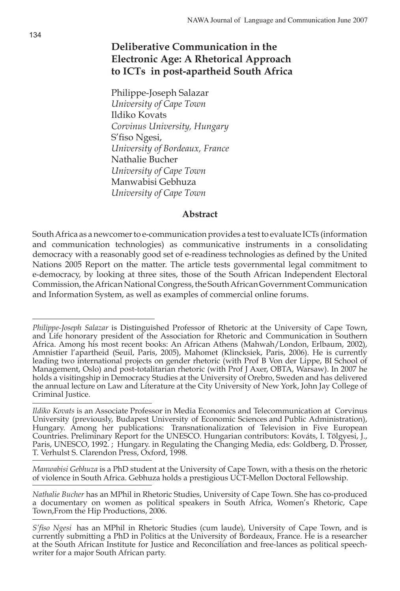# **Deliberative Communication in the Electronic Age: A Rhetorical Approach to ICTs in post-apartheid South Africa**

Philippe-Joseph Salazar *University of Cape Town* Ildiko Kovats *Corvinus University, Hungary* S'fiso Ngesi, *University of Bordeaux, France* Nathalie Bucher *University of Cape Town* Manwabisi Gebhuza *University of Cape Town*

#### **Abstract**

South Africa as a newcomer to e-communication provides a test to evaluate ICTs (information and communication technologies) as communicative instruments in a consolidating democracy with a reasonably good set of e-readiness technologies as defined by the United Nations 2005 Report on the matter. The article tests governmental legal commitment to e-democracy, by looking at three sites, those of the South African Independent Electoral Commission, the African National Congress, the South African Government Communication and Information System, as well as examples of commercial online forums.

*Manwabisi Gebhuza* is a PhD student at the University of Cape Town, with a thesis on the rhetoric of violence in South Africa. Gebhuza holds a prestigious UCT-Mellon Doctoral Fellowship.

*Nathalie Bucher* has an MPhil in Rhetoric Studies, University of Cape Town. She has co-produced a documentary on women as political speakers in South Africa, Women's Rhetoric, Cape Town,From the Hip Productions, 2006.

*Philippe-Joseph Salazar* is Distinguished Professor of Rhetoric at the University of Cape Town, and Life honorary president of the Association for Rhetoric and Communication in Southern Africa. Among his most recent books: An African Athens (Mahwah/London, Erlbaum, 2002), Amnistier l'apartheid (Seuil, Paris, 2005), Mahomet (Klincksiek, Paris, 2006). He is currently leading two international projects on gender rhetoric (with Prof B Von der Lippe, BI School of Management, Oslo) and post-totalitarian rhetoric (with Prof J Axer, OBTA, Warsaw). In 2007 he holds a visitingship in Democracy Studies at the University of Orebro, Sweden and has delivered the annual lecture on Law and Literature at the City University of New York, John Jay College of Criminal Justice.

*Ildiko Kovats* is an Associate Professor in Media Economics and Telecommunication at Corvinus University (previously, Budapest University of Economic Sciences and Public Administration), Hungary. Among her publications: Transnationalization of Television in Five European Countries. Preliminary Report for the UNESCO. Hungarian contributors: Kováts, I. Tölgyesi, J., Paris, UNESCO, 1992. ; Hungary. in Regulating the Changing Media, eds: Goldberg, D. Prosser, T. Verhulst S. Clarendon Press, Oxford, 1998.

*S'fiso Ngesi* has an MPhil in Rhetoric Studies (cum laude), University of Cape Town, and is currently submitting a PhD in Politics at the University of Bordeaux, France. He is a researcher at the South African Institute for Justice and Reconciliation and free-lances as political speechwriter for a major South African party.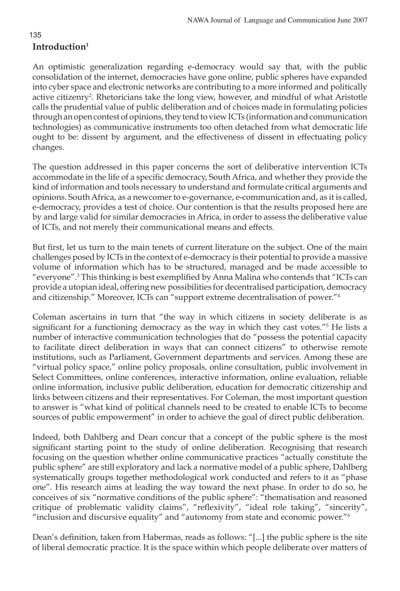# **Introduction1**

An optimistic generalization regarding e-democracy would say that, with the public consolidation of the internet, democracies have gone online, public spheres have expanded into cyber space and electronic networks are contributing to a more informed and politically active citizenry<sup>2</sup>. Rhetoricians take the long view, however, and mindful of what Aristotle calls the prudential value of public deliberation and of choices made in formulating policies through an open contest of opinions, they tend to view ICTs (information and communication technologies) as communicative instruments too often detached from what democratic life ought to be: dissent by argument, and the effectiveness of dissent in effectuating policy changes.

The question addressed in this paper concerns the sort of deliberative intervention ICTs accommodate in the life of a specific democracy, South Africa, and whether they provide the kind of information and tools necessary to understand and formulate critical arguments and opinions. South Africa, as a newcomer to e-governance, e-communication and, as it is called, e-democracy, provides a test of choice. Our contention is that the results proposed here are by and large valid for similar democracies in Africa, in order to assess the deliberative value of ICTs, and not merely their communicational means and effects.

But first, let us turn to the main tenets of current literature on the subject. One of the main challenges posed by ICTs in the context of e-democracy is their potential to provide a massive volume of information which has to be structured, managed and be made accessible to "everyone".3 This thinking is best exemplified by Anna Malina who contends that "ICTs can provide a utopian ideal, offering new possibilities for decentralised participation, democracy and citizenship." Moreover, ICTs can "support extreme decentralisation of power."4

Coleman ascertains in turn that "the way in which citizens in society deliberate is as significant for a functioning democracy as the way in which they cast votes.<sup>"5</sup> He lists a number of interactive communication technologies that do "possess the potential capacity to facilitate direct deliberation in ways that can connect citizens" to otherwise remote institutions, such as Parliament, Government departments and services. Among these are "virtual policy space," online policy proposals, online consultation, public involvement in Select Committees, online conferences, interactive information, online evaluation, reliable online information, inclusive public deliberation, education for democratic citizenship and links between citizens and their representatives. For Coleman, the most important question to answer is "what kind of political channels need to be created to enable ICTs to become sources of public empowerment" in order to achieve the goal of direct public deliberation.

Indeed, both Dahlberg and Dean concur that a concept of the public sphere is the most significant starting point to the study of online deliberation. Recognising that research focusing on the question whether online communicative practices "actually constitute the public sphere" are still exploratory and lack a normative model of a public sphere, Dahlberg systematically groups together methodological work conducted and refers to it as "phase one". His research aims at leading the way toward the next phase. In order to do so, he conceives of six "normative conditions of the public sphere": "thematisation and reasoned critique of problematic validity claims", "reflexivity", "ideal role taking", "sincerity", "inclusion and discursive equality" and "autonomy from state and economic power."6

Dean's definition, taken from Habermas, reads as follows: "[...] the public sphere is the site of liberal democratic practice. It is the space within which people deliberate over matters of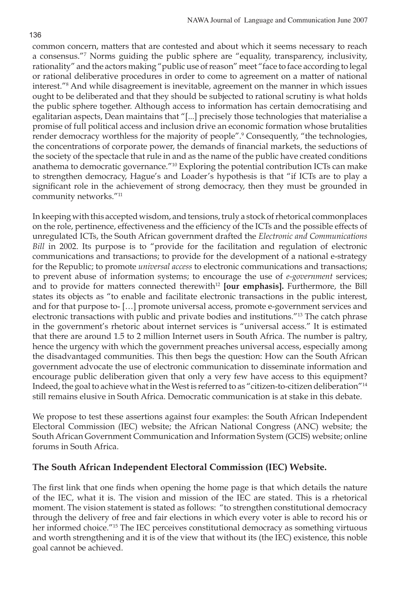common concern, matters that are contested and about which it seems necessary to reach a consensus."7 Norms guiding the public sphere are "equality, transparency, inclusivity, rationality" and the actors making "public use of reason" meet "face to face according to legal or rational deliberative procedures in order to come to agreement on a matter of national interest."8 And while disagreement is inevitable, agreement on the manner in which issues ought to be deliberated and that they should be subjected to rational scrutiny is what holds the public sphere together. Although access to information has certain democratising and egalitarian aspects, Dean maintains that "[...] precisely those technologies that materialise a promise of full political access and inclusion drive an economic formation whose brutalities render democracy worthless for the majority of people".<sup>9</sup> Consequently, "the technologies, the concentrations of corporate power, the demands of financial markets, the seductions of the society of the spectacle that rule in and as the name of the public have created conditions anathema to democratic governance."10 Exploring the potential contribution ICTs can make to strengthen democracy, Hague's and Loader's hypothesis is that "if ICTs are to play a significant role in the achievement of strong democracy, then they must be grounded in community networks."11

In keeping with this accepted wisdom, and tensions, truly a stock of rhetorical commonplaces on the role, pertinence, effectiveness and the efficiency of the ICTs and the possible effects of unregulated ICTs, the South African government drafted the *Electronic and Communications Bill* in 2002. Its purpose is to "provide for the facilitation and regulation of electronic communications and transactions; to provide for the development of a national e-strategy for the Republic; to promote *universal access* to electronic communications and transactions; to prevent abuse of information systems; to encourage the use of *e-government* services; and to provide for matters connected therewith<sup>12</sup> [our emphasis]. Furthermore, the Bill states its objects as "to enable and facilitate electronic transactions in the public interest, and for that purpose to- […] promote universal access, promote e-government services and electronic transactions with public and private bodies and institutions."13 The catch phrase in the government's rhetoric about internet services is "universal access." It is estimated that there are around 1.5 to 2 million Internet users in South Africa. The number is paltry, hence the urgency with which the government preaches universal access, especially among the disadvantaged communities. This then begs the question: How can the South African government advocate the use of electronic communication to disseminate information and encourage public deliberation given that only a very few have access to this equipment? Indeed, the goal to achieve what in the West is referred to as "citizen-to-citizen deliberation"14 still remains elusive in South Africa. Democratic communication is at stake in this debate.

We propose to test these assertions against four examples: the South African Independent Electoral Commission (IEC) website; the African National Congress (ANC) website; the South African Government Communication and Information System (GCIS) website; online forums in South Africa.

## **The South African Independent Electoral Commission (IEC) Website.**

The first link that one finds when opening the home page is that which details the nature of the IEC, what it is. The vision and mission of the IEC are stated. This is a rhetorical moment. The vision statement is stated as follows: "to strengthen constitutional democracy through the delivery of free and fair elections in which every voter is able to record his or her informed choice."<sup>15</sup> The IEC perceives constitutional democracy as something virtuous and worth strengthening and it is of the view that without its (the IEC) existence, this noble goal cannot be achieved.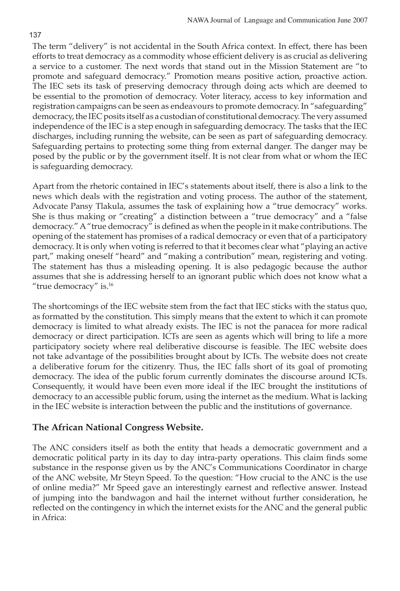The term "delivery" is not accidental in the South Africa context. In effect, there has been efforts to treat democracy as a commodity whose efficient delivery is as crucial as delivering a service to a customer. The next words that stand out in the Mission Statement are "to promote and safeguard democracy." Promotion means positive action, proactive action. The IEC sets its task of preserving democracy through doing acts which are deemed to be essential to the promotion of democracy. Voter literacy, access to key information and registration campaigns can be seen as endeavours to promote democracy. In "safeguarding" democracy, the IEC posits itself as a custodian of constitutional democracy. The very assumed independence of the IEC is a step enough in safeguarding democracy. The tasks that the IEC discharges, including running the website, can be seen as part of safeguarding democracy. Safeguarding pertains to protecting some thing from external danger. The danger may be posed by the public or by the government itself. It is not clear from what or whom the IEC is safeguarding democracy.

Apart from the rhetoric contained in IEC's statements about itself, there is also a link to the news which deals with the registration and voting process. The author of the statement, Advocate Pansy Tlakula, assumes the task of explaining how a "true democracy" works. She is thus making or "creating" a distinction between a "true democracy" and a "false democracy." A "true democracy" is defined as when the people in it make contributions. The opening of the statement has promises of a radical democracy or even that of a participatory democracy. It is only when voting is referred to that it becomes clear what "playing an active part," making oneself "heard" and "making a contribution" mean, registering and voting. The statement has thus a misleading opening. It is also pedagogic because the author assumes that she is addressing herself to an ignorant public which does not know what a "true democracy" is.16

The shortcomings of the IEC website stem from the fact that IEC sticks with the status quo, as formatted by the constitution. This simply means that the extent to which it can promote democracy is limited to what already exists. The IEC is not the panacea for more radical democracy or direct participation. ICTs are seen as agents which will bring to life a more participatory society where real deliberative discourse is feasible. The IEC website does not take advantage of the possibilities brought about by ICTs. The website does not create a deliberative forum for the citizenry. Thus, the IEC falls short of its goal of promoting democracy. The idea of the public forum currently dominates the discourse around ICTs. Consequently, it would have been even more ideal if the IEC brought the institutions of democracy to an accessible public forum, using the internet as the medium. What is lacking in the IEC website is interaction between the public and the institutions of governance.

## **The African National Congress Website.**

The ANC considers itself as both the entity that heads a democratic government and a democratic political party in its day to day intra-party operations. This claim finds some substance in the response given us by the ANC's Communications Coordinator in charge of the ANC website, Mr Steyn Speed. To the question: "How crucial to the ANC is the use of online media?" Mr Speed gave an interestingly earnest and reflective answer. Instead of jumping into the bandwagon and hail the internet without further consideration, he reflected on the contingency in which the internet exists for the ANC and the general public in Africa: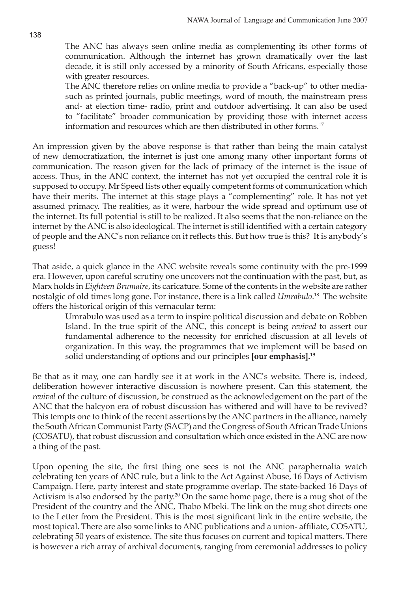The ANC has always seen online media as complementing its other forms of communication. Although the internet has grown dramatically over the last decade, it is still only accessed by a minority of South Africans, especially those with greater resources.

The ANC therefore relies on online media to provide a "back-up" to other mediasuch as printed journals, public meetings, word of mouth, the mainstream press and- at election time- radio, print and outdoor advertising. It can also be used to "facilitate" broader communication by providing those with internet access information and resources which are then distributed in other forms.<sup>17</sup>

An impression given by the above response is that rather than being the main catalyst of new democratization, the internet is just one among many other important forms of communication. The reason given for the lack of primacy of the internet is the issue of access. Thus, in the ANC context, the internet has not yet occupied the central role it is supposed to occupy. Mr Speed lists other equally competent forms of communication which have their merits. The internet at this stage plays a "complementing" role. It has not yet assumed primacy. The realities, as it were, harbour the wide spread and optimum use of the internet. Its full potential is still to be realized. It also seems that the non-reliance on the internet by the ANC is also ideological. The internet is still identified with a certain category of people and the ANC's non reliance on it reflects this. But how true is this? It is anybody's guess!

That aside, a quick glance in the ANC website reveals some continuity with the pre-1999 era. However, upon careful scrutiny one uncovers not the continuation with the past, but, as Marx holds in *Eighteen Brumaire*, its caricature. Some of the contents in the website are rather nostalgic of old times long gone. For instance, there is a link called *Umrabulo*. 18 The website offers the historical origin of this vernacular term:

Umrabulo was used as a term to inspire political discussion and debate on Robben Island. In the true spirit of the ANC, this concept is being *revived* to assert our fundamental adherence to the necessity for enriched discussion at all levels of organization. In this way, the programmes that we implement will be based on solid understanding of options and our principles **[our emphasis].19**

Be that as it may, one can hardly see it at work in the ANC's website. There is, indeed, deliberation however interactive discussion is nowhere present. Can this statement, the *revival* of the culture of discussion, be construed as the acknowledgement on the part of the ANC that the halcyon era of robust discussion has withered and will have to be revived? This tempts one to think of the recent assertions by the ANC partners in the alliance, namely the South African Communist Party (SACP) and the Congress of South African Trade Unions (COSATU), that robust discussion and consultation which once existed in the ANC are now a thing of the past.

Upon opening the site, the first thing one sees is not the ANC paraphernalia watch celebrating ten years of ANC rule, but a link to the Act Against Abuse, 16 Days of Activism Campaign. Here, party interest and state programme overlap. The state-backed 16 Days of Activism is also endorsed by the party.<sup>20</sup> On the same home page, there is a mug shot of the President of the country and the ANC, Thabo Mbeki. The link on the mug shot directs one to the Letter from the President. This is the most significant link in the entire website, the most topical. There are also some links to ANC publications and a union- affiliate, COSATU, celebrating 50 years of existence. The site thus focuses on current and topical matters. There is however a rich array of archival documents, ranging from ceremonial addresses to policy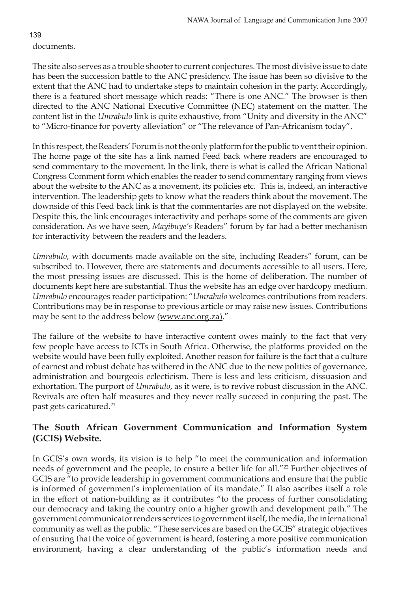documents.

The site also serves as a trouble shooter to current conjectures. The most divisive issue to date has been the succession battle to the ANC presidency. The issue has been so divisive to the extent that the ANC had to undertake steps to maintain cohesion in the party. Accordingly, there is a featured short message which reads: "There is one ANC." The browser is then directed to the ANC National Executive Committee (NEC) statement on the matter. The content list in the *Umrabulo* link is quite exhaustive, from "Unity and diversity in the ANC" to "Micro-finance for poverty alleviation" or "The relevance of Pan-Africanism today".

In this respect, the Readers' Forum is not the only platform for the public to vent their opinion. The home page of the site has a link named Feed back where readers are encouraged to send commentary to the movement. In the link, there is what is called the African National Congress Comment form which enables the reader to send commentary ranging from views about the website to the ANC as a movement, its policies etc. This is, indeed, an interactive intervention. The leadership gets to know what the readers think about the movement. The downside of this Feed back link is that the commentaries are not displayed on the website. Despite this, the link encourages interactivity and perhaps some of the comments are given consideration. As we have seen, *Mayibuye's* Readers" forum by far had a better mechanism for interactivity between the readers and the leaders.

*Umrabulo*, with documents made available on the site, including Readers" forum, can be subscribed to. However, there are statements and documents accessible to all users. Here, the most pressing issues are discussed. This is the home of deliberation. The number of documents kept here are substantial. Thus the website has an edge over hardcopy medium. *Umrabulo* encourages reader participation: "*Umrabulo* welcomes contributions from readers. Contributions may be in response to previous article or may raise new issues. Contributions may be sent to the address below (www.anc.org.za)."

The failure of the website to have interactive content owes mainly to the fact that very few people have access to ICTs in South Africa. Otherwise, the platforms provided on the website would have been fully exploited. Another reason for failure is the fact that a culture of earnest and robust debate has withered in the ANC due to the new politics of governance, administration and bourgeois eclecticism. There is less and less criticism, dissuasion and exhortation. The purport of *Umrabulo*, as it were, is to revive robust discussion in the ANC. Revivals are often half measures and they never really succeed in conjuring the past. The past gets caricatured.<sup>21</sup>

## **The South African Government Communication and Information System (GCIS) Website.**

In GCIS's own words, its vision is to help "to meet the communication and information needs of government and the people, to ensure a better life for all."<sup>22</sup> Further objectives of GCIS are "to provide leadership in government communications and ensure that the public is informed of government's implementation of its mandate." It also ascribes itself a role in the effort of nation-building as it contributes "to the process of further consolidating our democracy and taking the country onto a higher growth and development path." The government communicator renders services to government itself, the media, the international community as well as the public. "These services are based on the GCIS" strategic objectives of ensuring that the voice of government is heard, fostering a more positive communication environment, having a clear understanding of the public's information needs and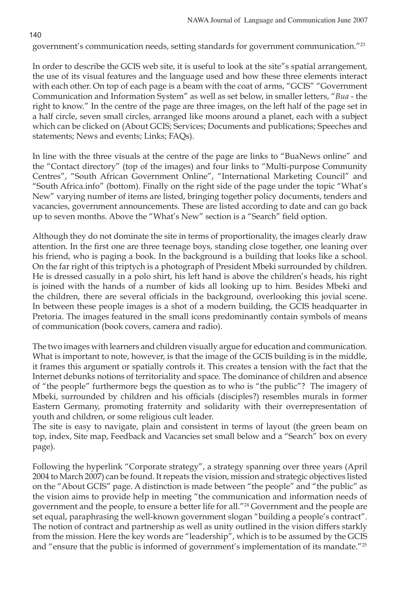140

government's communication needs, setting standards for government communication."23

In order to describe the GCIS web site, it is useful to look at the site"s spatial arrangement, the use of its visual features and the language used and how these three elements interact with each other. On top of each page is a beam with the coat of arms, "GCIS" "Government Communication and Information System" as well as set below, in smaller letters, "*Bua* - the right to know." In the centre of the page are three images, on the left half of the page set in a half circle, seven small circles, arranged like moons around a planet, each with a subject which can be clicked on (About GCIS; Services; Documents and publications; Speeches and statements; News and events; Links; FAQs).

In line with the three visuals at the centre of the page are links to "BuaNews online" and the "Contact directory" (top of the images) and four links to "Multi-purpose Community Centres", "South African Government Online", "International Marketing Council" and "South Africa.info" (bottom). Finally on the right side of the page under the topic "What's New" varying number of items are listed, bringing together policy documents, tenders and vacancies, government announcements. These are listed according to date and can go back up to seven months. Above the "What's New" section is a "Search" field option.

Although they do not dominate the site in terms of proportionality, the images clearly draw attention. In the first one are three teenage boys, standing close together, one leaning over his friend, who is paging a book. In the background is a building that looks like a school. On the far right of this triptych is a photograph of President Mbeki surrounded by children. He is dressed casually in a polo shirt, his left hand is above the children's heads, his right is joined with the hands of a number of kids all looking up to him. Besides Mbeki and the children, there are several officials in the background, overlooking this jovial scene. In between these people images is a shot of a modern building, the GCIS headquarter in Pretoria. The images featured in the small icons predominantly contain symbols of means of communication (book covers, camera and radio).

The two images with learners and children visually argue for education and communication. What is important to note, however, is that the image of the GCIS building is in the middle, it frames this argument or spatially controls it. This creates a tension with the fact that the Internet debunks notions of territoriality and space. The dominance of children and absence of "the people" furthermore begs the question as to who is "the public"? The imagery of Mbeki, surrounded by children and his officials (disciples?) resembles murals in former Eastern Germany, promoting fraternity and solidarity with their overrepresentation of youth and children, or some religious cult leader.

The site is easy to navigate, plain and consistent in terms of layout (the green beam on top, index, Site map, Feedback and Vacancies set small below and a "Search" box on every page).

Following the hyperlink "Corporate strategy", a strategy spanning over three years (April 2004 to March 2007) can be found. It repeats the vision, mission and strategic objectives listed on the "About GCIS" page. A distinction is made between "the people" and "the public" as the vision aims to provide help in meeting "the communication and information needs of government and the people, to ensure a better life for all."24 Government and the people are set equal, paraphrasing the well-known government slogan "building a people's contract". The notion of contract and partnership as well as unity outlined in the vision differs starkly from the mission. Here the key words are "leadership", which is to be assumed by the GCIS and "ensure that the public is informed of government's implementation of its mandate."<sup>25</sup>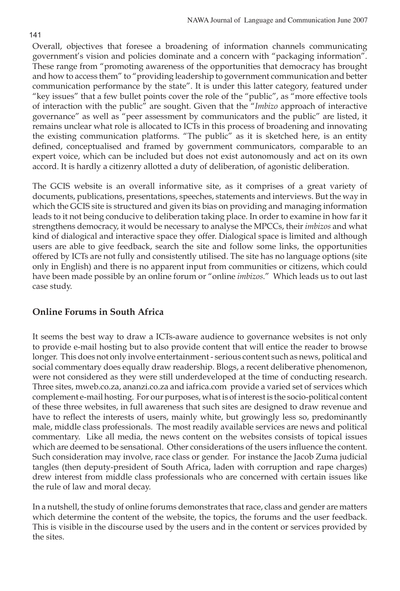Overall, objectives that foresee a broadening of information channels communicating government's vision and policies dominate and a concern with "packaging information". These range from "promoting awareness of the opportunities that democracy has brought and how to access them" to "providing leadership to government communication and better communication performance by the state". It is under this latter category, featured under "key issues" that a few bullet points cover the role of the "public", as "more effective tools of interaction with the public" are sought. Given that the "*Imbizo* approach of interactive governance" as well as "peer assessment by communicators and the public" are listed, it remains unclear what role is allocated to ICTs in this process of broadening and innovating the existing communication platforms. "The public" as it is sketched here, is an entity defined, conceptualised and framed by government communicators, comparable to an expert voice, which can be included but does not exist autonomously and act on its own accord. It is hardly a citizenry allotted a duty of deliberation, of agonistic deliberation.

The GCIS website is an overall informative site, as it comprises of a great variety of documents, publications, presentations, speeches, statements and interviews. But the way in which the GCIS site is structured and given its bias on providing and managing information leads to it not being conducive to deliberation taking place. In order to examine in how far it strengthens democracy, it would be necessary to analyse the MPCCs, their *imbizos* and what kind of dialogical and interactive space they offer. Dialogical space is limited and although users are able to give feedback, search the site and follow some links, the opportunities offered by ICTs are not fully and consistently utilised. The site has no language options (site only in English) and there is no apparent input from communities or citizens, which could have been made possible by an online forum or "online *imbizos*." Which leads us to out last case study.

## **Online Forums in South Africa**

It seems the best way to draw a ICTs-aware audience to governance websites is not only to provide e-mail hosting but to also provide content that will entice the reader to browse longer. This does not only involve entertainment - serious content such as news, political and social commentary does equally draw readership. Blogs, a recent deliberative phenomenon, were not considered as they were still underdeveloped at the time of conducting research. Three sites, mweb.co.za, ananzi.co.za and iafrica.com provide a varied set of services which complement e-mail hosting. For our purposes, what is of interest is the socio-political content of these three websites, in full awareness that such sites are designed to draw revenue and have to reflect the interests of users, mainly white, but growingly less so, predominantly male, middle class professionals. The most readily available services are news and political commentary. Like all media, the news content on the websites consists of topical issues which are deemed to be sensational. Other considerations of the users influence the content. Such consideration may involve, race class or gender. For instance the Jacob Zuma judicial tangles (then deputy-president of South Africa, laden with corruption and rape charges) drew interest from middle class professionals who are concerned with certain issues like the rule of law and moral decay.

In a nutshell, the study of online forums demonstrates that race, class and gender are matters which determine the content of the website, the topics, the forums and the user feedback. This is visible in the discourse used by the users and in the content or services provided by the sites.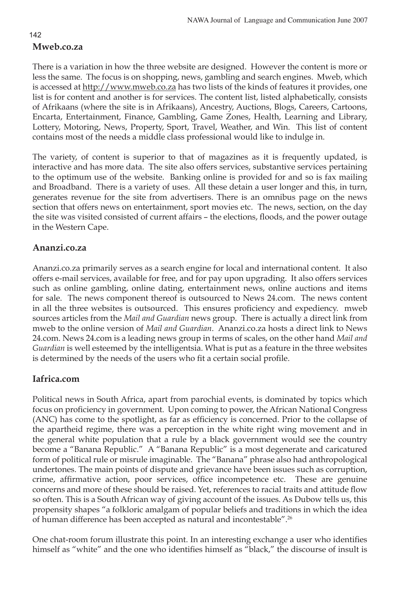## 142 **Mweb.co.za**

There is a variation in how the three website are designed. However the content is more or less the same. The focus is on shopping, news, gambling and search engines. Mweb, which is accessed at http://www.mweb.co.za has two lists of the kinds of features it provides, one list is for content and another is for services. The content list, listed alphabetically, consists of Afrikaans (where the site is in Afrikaans), Ancestry, Auctions, Blogs, Careers, Cartoons, Encarta, Entertainment, Finance, Gambling, Game Zones, Health, Learning and Library, Lottery, Motoring, News, Property, Sport, Travel, Weather, and Win. This list of content contains most of the needs a middle class professional would like to indulge in.

The variety, of content is superior to that of magazines as it is frequently updated, is interactive and has more data. The site also offers services, substantive services pertaining to the optimum use of the website. Banking online is provided for and so is fax mailing and Broadband. There is a variety of uses. All these detain a user longer and this, in turn, generates revenue for the site from advertisers. There is an omnibus page on the news section that offers news on entertainment, sport movies etc. The news, section, on the day the site was visited consisted of current affairs – the elections, floods, and the power outage in the Western Cape.

## **Ananzi.co.za**

Ananzi.co.za primarily serves as a search engine for local and international content. It also offers e-mail services, available for free, and for pay upon upgrading. It also offers services such as online gambling, online dating, entertainment news, online auctions and items for sale. The news component thereof is outsourced to News 24.com. The news content in all the three websites is outsourced. This ensures proficiency and expediency. mweb sources articles from the *Mail and Guardian* news group. There is actually a direct link from mweb to the online version of *Mail and Guardian*. Ananzi.co.za hosts a direct link to News 24.com. News 24.com is a leading news group in terms of scales, on the other hand *Mail and Guardian* is well esteemed by the intelligentsia. What is put as a feature in the three websites is determined by the needs of the users who fit a certain social profile.

## **Iafrica.com**

Political news in South Africa, apart from parochial events, is dominated by topics which focus on proficiency in government. Upon coming to power, the African National Congress (ANC) has come to the spotlight, as far as efficiency is concerned. Prior to the collapse of the apartheid regime, there was a perception in the white right wing movement and in the general white population that a rule by a black government would see the country become a "Banana Republic." A "Banana Republic" is a most degenerate and caricatured form of political rule or misrule imaginable. The "Banana" phrase also had anthropological undertones. The main points of dispute and grievance have been issues such as corruption, crime, affirmative action, poor services, office incompetence etc. These are genuine concerns and more of these should be raised. Yet, references to racial traits and attitude flow so often. This is a South African way of giving account of the issues. As Dubow tells us, this propensity shapes "a folkloric amalgam of popular beliefs and traditions in which the idea of human difference has been accepted as natural and incontestable". 26

One chat-room forum illustrate this point. In an interesting exchange a user who identifies himself as "white" and the one who identifies himself as "black," the discourse of insult is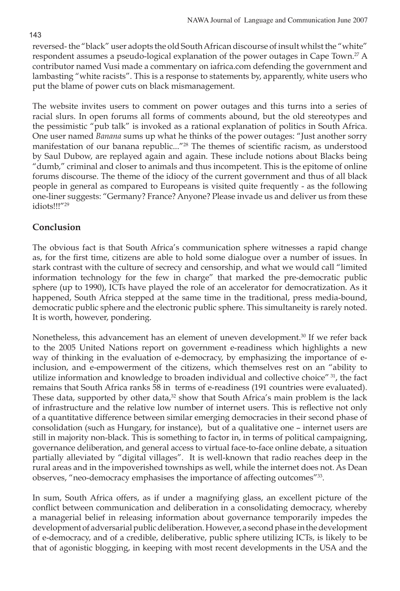reversed- the "black" user adopts the old South African discourse of insult whilst the "white" respondent assumes a pseudo-logical explanation of the power outages in Cape Town.27 A contributor named Vusi made a commentary on iafrica.com defending the government and lambasting "white racists". This is a response to statements by, apparently, white users who put the blame of power cuts on black mismanagement.

The website invites users to comment on power outages and this turns into a series of racial slurs. In open forums all forms of comments abound, but the old stereotypes and the pessimistic "pub talk" is invoked as a rational explanation of politics in South Africa. One user named *Banana* sums up what he thinks of the power outages: "Just another sorry manifestation of our banana republic..."28 The themes of scientific racism, as understood by Saul Dubow, are replayed again and again. These include notions about Blacks being "dumb," criminal and closer to animals and thus incompetent. This is the epitome of online forums discourse. The theme of the idiocy of the current government and thus of all black people in general as compared to Europeans is visited quite frequently - as the following one-liner suggests: "Germany? France? Anyone? Please invade us and deliver us from these idiots!!!"29

# **Conclusion**

The obvious fact is that South Africa's communication sphere witnesses a rapid change as, for the first time, citizens are able to hold some dialogue over a number of issues. In stark contrast with the culture of secrecy and censorship, and what we would call "limited information technology for the few in charge" that marked the pre-democratic public sphere (up to 1990), ICTs have played the role of an accelerator for democratization. As it happened, South Africa stepped at the same time in the traditional, press media-bound, democratic public sphere and the electronic public sphere. This simultaneity is rarely noted. It is worth, however, pondering.

Nonetheless, this advancement has an element of uneven development.<sup>30</sup> If we refer back to the 2005 United Nations report on government e-readiness which highlights a new way of thinking in the evaluation of e-democracy, by emphasizing the importance of einclusion, and e-empowerment of the citizens, which themselves rest on an "ability to utilize information and knowledge to broaden individual and collective choice" 31, the fact remains that South Africa ranks 58 in terms of e-readiness (191 countries were evaluated). These data, supported by other data, $32$  show that South Africa's main problem is the lack of infrastructure and the relative low number of internet users. This is reflective not only of a quantitative difference between similar emerging democracies in their second phase of consolidation (such as Hungary, for instance), but of a qualitative one – internet users are still in majority non-black. This is something to factor in, in terms of political campaigning, governance deliberation, and general access to virtual face-to-face online debate, a situation partially alleviated by "digital villages". It is well-known that radio reaches deep in the rural areas and in the impoverished townships as well, while the internet does not. As Dean observes, "neo-democracy emphasises the importance of affecting outcomes"<sup>33</sup>.

In sum, South Africa offers, as if under a magnifying glass, an excellent picture of the conflict between communication and deliberation in a consolidating democracy, whereby a managerial belief in releasing information about governance temporarily impedes the development of adversarial public deliberation. However, a second phase in the development of e-democracy, and of a credible, deliberative, public sphere utilizing ICTs, is likely to be that of agonistic blogging, in keeping with most recent developments in the USA and the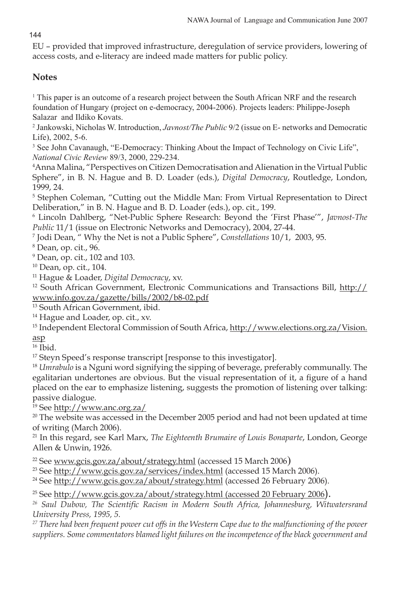144

EU – provided that improved infrastructure, deregulation of service providers, lowering of access costs, and e-literacy are indeed made matters for public policy.

# **Notes**

1 This paper is an outcome of a research project between the South African NRF and the research foundation of Hungary (project on e-democracy, 2004-2006). Projects leaders: Philippe-Joseph Salazar and Ildiko Kovats.

2 Jankowski, Nicholas W. Introduction, *Javnost/The Public* 9/2 (issue on E- networks and Democratic Life), 2002, 5-6.

<sup>3</sup> See John Cavanaugh, "E-Democracy: Thinking About the Impact of Technology on Civic Life", *National Civic Review* 89/3, 2000, 229-234.

4 Anna Malina, "Perspectives on Citizen Democratisation and Alienation in the Virtual Public Sphere", in B. N. Hague and B. D. Loader (eds.), *Digital Democracy*, Routledge, London, 1999, 24.

<sup>5</sup> Stephen Coleman, "Cutting out the Middle Man: From Virtual Representation to Direct Deliberation," in B. N. Hague and B. D. Loader (eds.), op. cit., 199.

6 Lincoln Dahlberg, "Net-Public Sphere Research: Beyond the 'First Phase'", *Javnost-The Public* 11/1 (issue on Electronic Networks and Democracy), 2004, 27-44.

<sup>7</sup> Jodi Dean, " Why the Net is not a Public Sphere", *Constellations* 10/1, 2003, 95.<br><sup>8</sup> Dean, op. cit. 96

Dean, op. cit., 96.

9 Dean, op. cit., 102 and 103.

10 Dean, op. cit., 104.

11 Hague & Loader, *Digital Democracy*, xv.

12 South African Government, Electronic Communications and Transactions Bill, http:// www.info.gov.za/gazette/bills/2002/b8-02.pdf

13 South African Government, ibid.

<sup>14</sup> Hague and Loader, op. cit., xv.

<sup>15</sup> Independent Electoral Commission of South Africa, http://www.elections.org.za/Vision. asp

 $16$  Ibid.

<sup>17</sup> Steyn Speed's response transcript [response to this investigator].

<sup>18</sup> *Umrabulo* is a Nguni word signifying the sipping of beverage, preferably communally. The egalitarian undertones are obvious. But the visual representation of it, a figure of a hand placed on the ear to emphasize listening, suggests the promotion of listening over talking: passive dialogue.

19 See http://www.anc.org.za/

<sup>20</sup> The website was accessed in the December 2005 period and had not been updated at time of writing (March 2006).

<sup>21</sup> In this regard, see Karl Marx, *The Eighteenth Brumaire of Louis Bonaparte*, London, George Allen & Unwin, 1926.

 $22$  See www.gcis.gov.za/about/strategy.html (accessed 15 March 2006)

<sup>23</sup> See http://www.gcis.gov.za/services/index.html (accessed 15 March 2006).

<sup>24</sup> See http://www.gcis.gov.za/about/strategy.html (accessed 26 February 2006).

<sup>25</sup> See http://www.gcis.gov.za/about/strategy.html (accessed 20 February 2006).

*26 Saul Dubow, The Scientific Racism in Modern South Africa, Johannesburg, Witwatersrand University Press, 1995, 5.*

*27 There had been frequent power cut offs in the Western Cape due to the malfunctioning of the power suppliers. Some commentators blamed light failures on the incompetence of the black government and*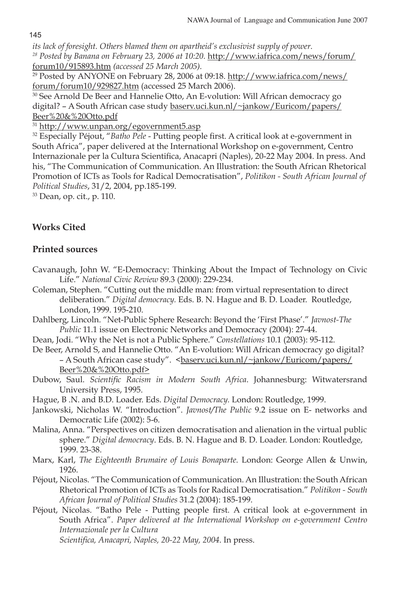145

*its lack of foresight. Others blamed them on apartheid's exclusivist supply of power.*

*28 Posted by Banana on February 23, 2006 at 10:20.* http://www.iafrica.com/news/forum/ forum10/915893.htm *(accessed 25 March 2005).*

<sup>29</sup> Posted by ANYONE on February 28, 2006 at 09:18. http://www.iafrica.com/news/ forum/forum10/929827.htm (accessed 25 March 2006).

30 See Arnold De Beer and Hannelie Otto, An E-volution: Will African democracy go digital? - A South African case study baserv.uci.kun.nl/~jankow/Euricom/papers/ Beer%20&%20Otto.pdf

<sup>31</sup> http://www.unpan.org/egovernment5.asp

<sup>32</sup> Especially Péjout, "*Batho Pele* - Putting people first. A critical look at e-government in South Africa", paper delivered at the International Workshop on e-government, Centro Internazionale per la Cultura Scientifica, Anacapri (Naples), 20-22 May 2004. In press. And his, "The Communication of Communication. An Illustration: the South African Rhetorical Promotion of ICTs as Tools for Radical Democratisation", *Politikon - South African Journal of Political Studies*, 31/2, 2004, pp.185-199.

33 Dean, op. cit., p. 110.

## **Works Cited**

## **Printed sources**

- Cavanaugh, John W. "E-Democracy: Thinking About the Impact of Technology on Civic Life." *National Civic Review* 89.3 (2000): 229-234.
- Coleman, Stephen. "Cutting out the middle man: from virtual representation to direct deliberation." *Digital democracy.* Eds. B. N. Hague and B. D. Loader. Routledge, London, 1999. 195-210.
- Dahlberg, Lincoln. "Net-Public Sphere Research: Beyond the 'First Phase'." *Javnost-The Public* 11.1 issue on Electronic Networks and Democracy (2004): 27-44.
- Dean, Jodi. "Why the Net is not a Public Sphere." *Constellations* 10.1 (2003): 95-112.
- De Beer, Arnold S, and Hannelie Otto. "An E-volution: Will African democracy go digital? – A South African case study". <br/>baserv.uci.kun.nl/~jankow/Euricom/papers/ Beer%20&%20Otto.pdf>
- Dubow, Saul. *Scientific Racism in Modern South Africa*. Johannesburg: Witwatersrand University Press, 1995.
- Hague, B .N. and B.D. Loader. Eds. *Digital Democracy.* London: Routledge, 1999.
- Jankowski, Nicholas W. "Introduction". *Javnost/The Public* 9.2 issue on E- networks and Democratic Life (2002): 5-6.
- Malina, Anna. "Perspectives on citizen democratisation and alienation in the virtual public sphere." *Digital democracy*. Eds. B. N. Hague and B. D. Loader. London: Routledge, 1999. 23-38.

Marx, Karl, *The Eighteenth Brumaire of Louis Bonaparte.* London: George Allen & Unwin, 1926.

Péjout, Nicolas. "The Communication of Communication. An Illustration: the South African Rhetorical Promotion of ICTs as Tools for Radical Democratisation." *Politikon - South African Journal of Political Studies* 31.2 (2004): 185-199.

Péjout, Nicolas. "Batho Pele - Putting people first. A critical look at e-government in South Africa". *Paper delivered at the International Workshop on e-government Centro Internazionale per la Cultura Scientifica, Anacapri, Naples, 20-22 May, 2004*. In press.